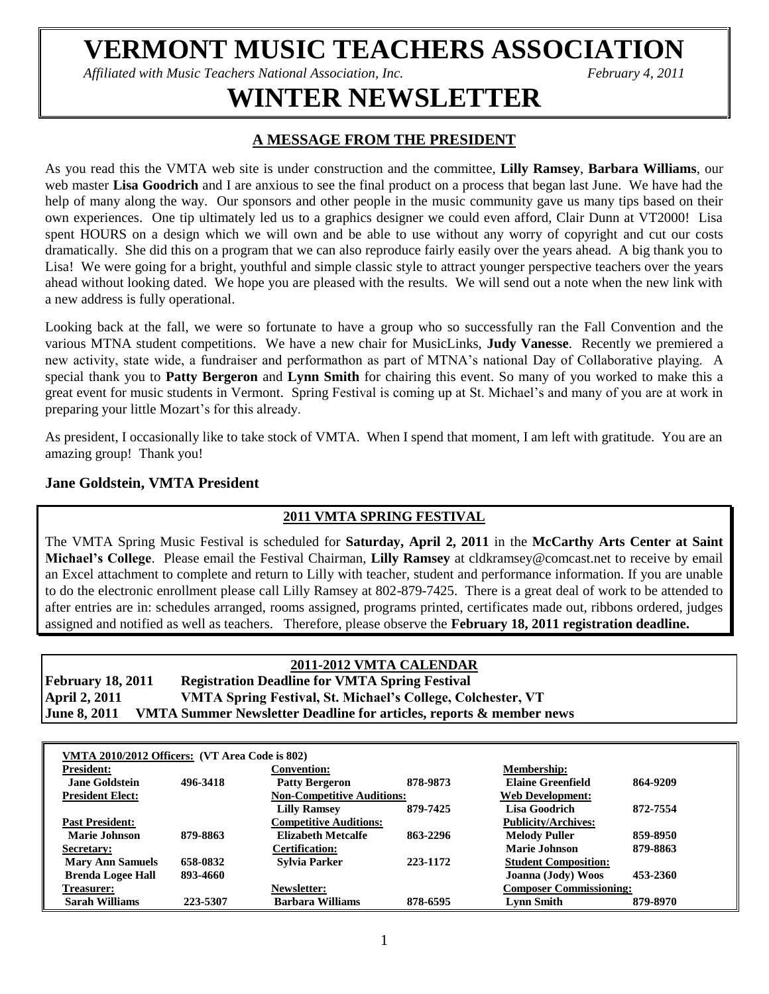# **VERMONT MUSIC TEACHERS ASSOCIATION**

*Affiliated with Music Teachers National Association, Inc.* February 4, 2011

# **WINTER NEWSLETTER**

## **A MESSAGE FROM THE PRESIDENT**

As you read this the VMTA web site is under construction and the committee, **Lilly Ramsey**, **Barbara Williams**, our web master **Lisa Goodrich** and I are anxious to see the final product on a process that began last June. We have had the help of many along the way. Our sponsors and other people in the music community gave us many tips based on their own experiences. One tip ultimately led us to a graphics designer we could even afford, Clair Dunn at VT2000! Lisa spent HOURS on a design which we will own and be able to use without any worry of copyright and cut our costs dramatically. She did this on a program that we can also reproduce fairly easily over the years ahead. A big thank you to Lisa! We were going for a bright, youthful and simple classic style to attract younger perspective teachers over the years ahead without looking dated. We hope you are pleased with the results. We will send out a note when the new link with a new address is fully operational.

Looking back at the fall, we were so fortunate to have a group who so successfully ran the Fall Convention and the various MTNA student competitions. We have a new chair for MusicLinks, **Judy Vanesse**. Recently we premiered a new activity, state wide, a fundraiser and performathon as part of MTNA's national Day of Collaborative playing. A special thank you to **Patty Bergeron** and **Lynn Smith** for chairing this event. So many of you worked to make this a great event for music students in Vermont. Spring Festival is coming up at St. Michael's and many of you are at work in preparing your little Mozart's for this already.

As president, I occasionally like to take stock of VMTA. When I spend that moment, I am left with gratitude. You are an amazing group! Thank you!

## **Jane Goldstein, VMTA President**

## **2011 VMTA SPRING FESTIVAL**

The VMTA Spring Music Festival is scheduled for **Saturday, April 2, 2011** in the **McCarthy Arts Center at Saint Michael's College**. Please email the Festival Chairman, **Lilly Ramsey** at cldkramsey@comcast.net to receive by email an Excel attachment to complete and return to Lilly with teacher, student and performance information. If you are unable to do the electronic enrollment please call Lilly Ramsey at 802-879-7425. There is a great deal of work to be attended to after entries are in: schedules arranged, rooms assigned, programs printed, certificates made out, ribbons ordered, judges assigned and notified as well as teachers. Therefore, please observe the **February 18, 2011 registration deadline.**

## **2011-2012 VMTA CALENDAR**

**February 18, 2011 Registration Deadline for VMTA Spring Festival April 2, 2011 VMTA Spring Festival, St. Michael's College, Colchester, VT June 8, 2011 VMTA Summer Newsletter Deadline for articles, reports & member news**

| VMTA 2010/2012 Officers: (VT Area Code is 802) |          |                                   |          |                                |          |
|------------------------------------------------|----------|-----------------------------------|----------|--------------------------------|----------|
| <b>President:</b>                              |          | <b>Convention:</b>                |          | <b>Membership:</b>             |          |
| <b>Jane Goldstein</b>                          | 496-3418 | <b>Patty Bergeron</b>             | 878-9873 | <b>Elaine Greenfield</b>       | 864-9209 |
| <b>President Elect:</b>                        |          | <b>Non-Competitive Auditions:</b> |          | <b>Web Development:</b>        |          |
|                                                |          | <b>Lilly Ramsey</b>               | 879-7425 | Lisa Goodrich                  | 872-7554 |
| <b>Past President:</b>                         |          | <b>Competitive Auditions:</b>     |          | <b>Publicity/Archives:</b>     |          |
| Marie Johnson                                  | 879-8863 | <b>Elizabeth Metcalfe</b>         | 863-2296 | <b>Melody Puller</b>           | 859-8950 |
| Secretary:                                     |          | <b>Certification:</b>             |          | Marie Johnson                  | 879-8863 |
| <b>Mary Ann Samuels</b>                        | 658-0832 | <b>Sylvia Parker</b>              | 223-1172 | <b>Student Composition:</b>    |          |
| <b>Brenda Logee Hall</b>                       | 893-4660 |                                   |          | Joanna (Jody) Woos             | 453-2360 |
| Treasurer:                                     |          | Newsletter:                       |          | <b>Composer Commissioning:</b> |          |
| Sarah Williams                                 | 223-5307 | <b>Barbara Williams</b>           | 878-6595 | Lynn Smith                     | 879-8970 |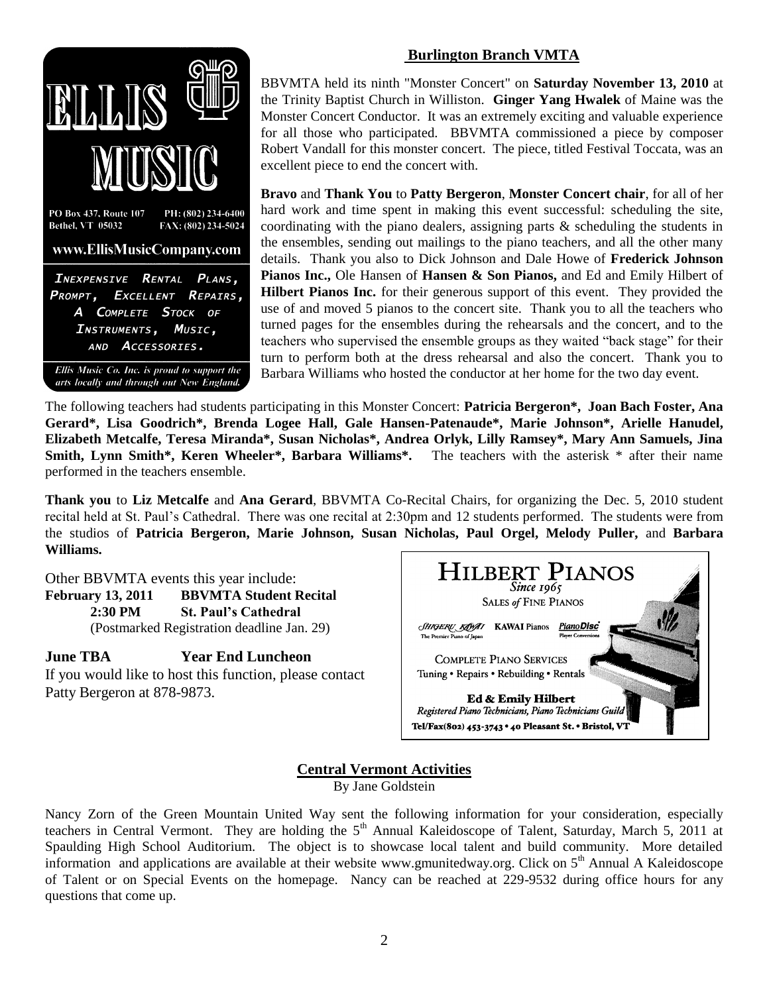

Ellis Music Co. Inc. is proud to support the arts locally and through out New England.

#### **Burlington Branch VMTA**

BBVMTA held its ninth "Monster Concert" on **Saturday November 13, 2010** at the Trinity Baptist Church in Williston. **Ginger Yang Hwalek** of Maine was the Monster Concert Conductor. It was an extremely exciting and valuable experience for all those who participated. BBVMTA commissioned a piece by composer Robert Vandall for this monster concert. The piece, titled Festival Toccata, was an excellent piece to end the concert with.

**Bravo** and **Thank You** to **Patty Bergeron**, **Monster Concert chair**, for all of her hard work and time spent in making this event successful: scheduling the site, coordinating with the piano dealers, assigning parts & scheduling the students in the ensembles, sending out mailings to the piano teachers, and all the other many details. Thank you also to Dick Johnson and Dale Howe of **Frederick Johnson Pianos Inc.,** Ole Hansen of **Hansen & Son Pianos,** and Ed and Emily Hilbert of **Hilbert Pianos Inc.** for their generous support of this event. They provided the use of and moved 5 pianos to the concert site. Thank you to all the teachers who turned pages for the ensembles during the rehearsals and the concert, and to the teachers who supervised the ensemble groups as they waited "back stage" for their turn to perform both at the dress rehearsal and also the concert. Thank you to Barbara Williams who hosted the conductor at her home for the two day event.

The following teachers had students participating in this Monster Concert: **Patricia Bergeron\*, Joan Bach Foster, Ana Gerard\*, Lisa Goodrich\*, Brenda Logee Hall, Gale Hansen-Patenaude\*, Marie Johnson\*, Arielle Hanudel, Elizabeth Metcalfe, Teresa Miranda\*, Susan Nicholas\*, Andrea Orlyk, Lilly Ramsey\*, Mary Ann Samuels, Jina Smith, Lynn Smith\*, Keren Wheeler\*, Barbara Williams\*.** The teachers with the asterisk \* after their name performed in the teachers ensemble.

**Thank you** to **Liz Metcalfe** and **Ana Gerard**, BBVMTA Co-Recital Chairs, for organizing the Dec. 5, 2010 student recital held at St. Paul's Cathedral. There was one recital at 2:30pm and 12 students performed. The students were from the studios of **Patricia Bergeron, Marie Johnson, Susan Nicholas, Paul Orgel, Melody Puller,** and **Barbara Williams.**

Other BBVMTA events this year include: **February 13, 2011 BBVMTA Student Recital 2:30 PM St. Paul's Cathedral** (Postmarked Registration deadline Jan. 29)

**June TBA Year End Luncheon** If you would like to host this function, please contact Patty Bergeron at 878-9873.



## **Central Vermont Activities**

By Jane Goldstein

Nancy Zorn of the Green Mountain United Way sent the following information for your consideration, especially teachers in Central Vermont. They are holding the 5<sup>th</sup> Annual Kaleidoscope of Talent, Saturday, March 5, 2011 at Spaulding High School Auditorium. The object is to showcase local talent and build community. More detailed information and applications are available at their website [www.gmunitedway.org.](http://www.gmunitedway.org/) Click on  $5<sup>th</sup>$  Annual A Kaleidoscope of Talent or on Special Events on the homepage. Nancy can be reached at 229-9532 during office hours for any questions that come up.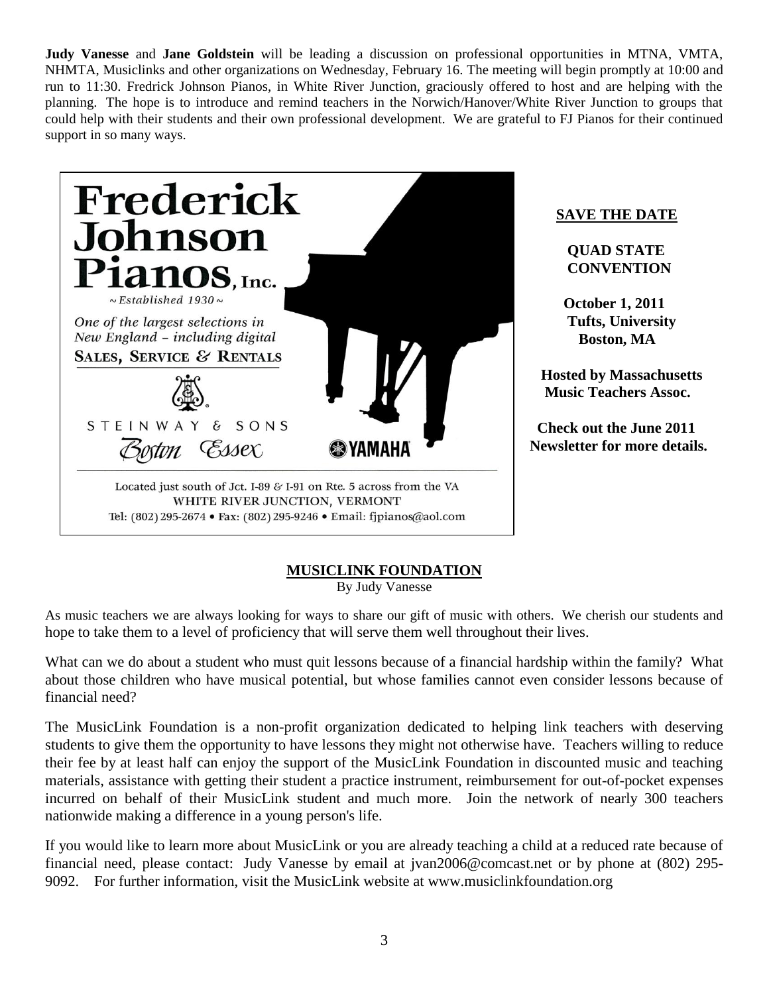**Judy Vanesse** and **Jane Goldstein** will be leading a discussion on professional opportunities in MTNA, VMTA, NHMTA, Musiclinks and other organizations on Wednesday, February 16. The meeting will begin promptly at 10:00 and run to 11:30. Fredrick Johnson Pianos, in White River Junction, graciously offered to host and are helping with the planning. The hope is to introduce and remind teachers in the Norwich/Hanover/White River Junction to groups that could help with their students and their own professional development. We are grateful to FJ Pianos for their continued support in so many ways.



Tel: (802) 295-2674 • Fax: (802) 295-9246 • Email: fjpianos@aol.com

## **SAVE THE DATE**

 **QUAD STATE CONVENTION**

 **October 1, 2011 Tufts, University Boston, MA**

 **Hosted by Massachusetts Music Teachers Assoc.**

 **Check out the June 2011 Newsletter for more details.**

## **MUSICLINK FOUNDATION**

By Judy Vanesse

As music teachers we are always looking for ways to share our gift of music with others. We cherish our students and hope to take them to a level of proficiency that will serve them well throughout their lives.

What can we do about a student who must quit lessons because of a financial hardship within the family? What about those children who have musical potential, but whose families cannot even consider lessons because of financial need?

The MusicLink Foundation is a non-profit organization dedicated to helping link teachers with deserving students to give them the opportunity to have lessons they might not otherwise have. Teachers willing to reduce their fee by at least half can enjoy the support of the MusicLink Foundation in discounted music and teaching materials, assistance with getting their student a practice instrument, reimbursement for out-of-pocket expenses incurred on behalf of their MusicLink student and much more. Join the network of nearly 300 teachers nationwide making a difference in a young person's life.

If you would like to learn more about MusicLink or you are already teaching a child at a reduced rate because of financial need, please contact: Judy Vanesse by email at [jvan2006@comcast.net](mailto:jvan2006@comcast.net) or by phone at (802) 295- 9092. For further information, visit the MusicLink website at [www.musiclinkfoundation.org](http://www.musiclinkfoundation.org/)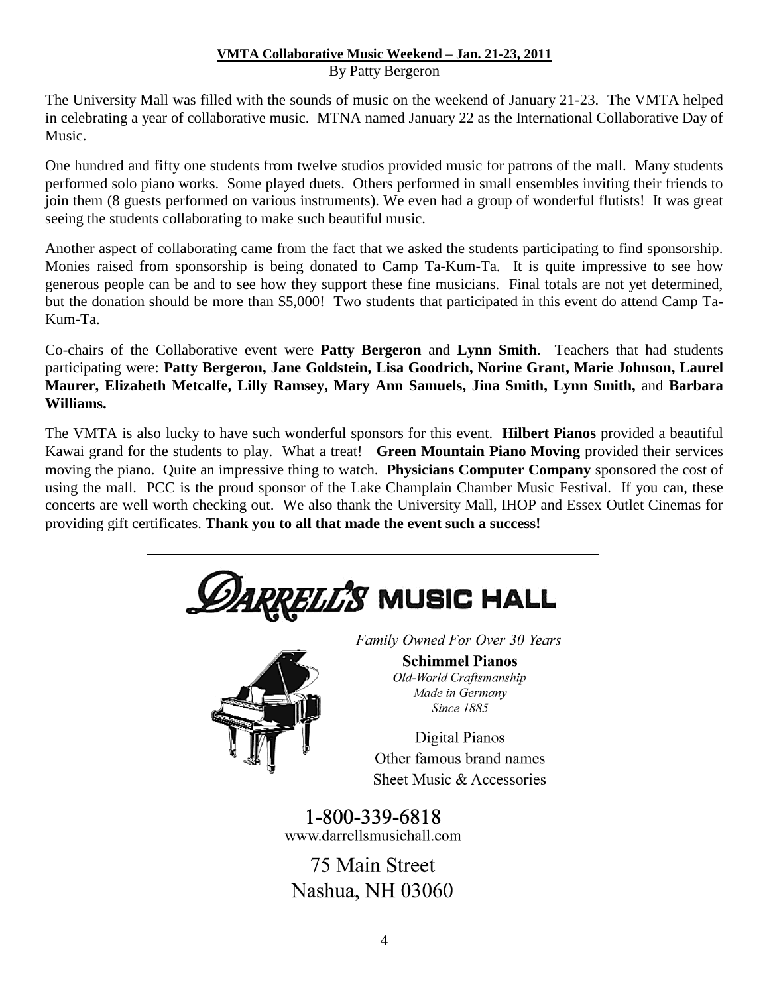## **VMTA Collaborative Music Weekend – Jan. 21-23, 2011** By Patty Bergeron

The University Mall was filled with the sounds of music on the weekend of January 21-23. The VMTA helped in celebrating a year of collaborative music. MTNA named January 22 as the International Collaborative Day of Music.

One hundred and fifty one students from twelve studios provided music for patrons of the mall. Many students performed solo piano works. Some played duets. Others performed in small ensembles inviting their friends to join them (8 guests performed on various instruments). We even had a group of wonderful flutists! It was great seeing the students collaborating to make such beautiful music.

Another aspect of collaborating came from the fact that we asked the students participating to find sponsorship. Monies raised from sponsorship is being donated to Camp Ta-Kum-Ta. It is quite impressive to see how generous people can be and to see how they support these fine musicians. Final totals are not yet determined, but the donation should be more than \$5,000! Two students that participated in this event do attend Camp Ta-Kum-Ta.

Co-chairs of the Collaborative event were **Patty Bergeron** and **Lynn Smith**. Teachers that had students participating were: **Patty Bergeron, Jane Goldstein, Lisa Goodrich, Norine Grant, Marie Johnson, Laurel Maurer, Elizabeth Metcalfe, Lilly Ramsey, Mary Ann Samuels, Jina Smith, Lynn Smith,** and **Barbara Williams.** 

The VMTA is also lucky to have such wonderful sponsors for this event. **Hilbert Pianos** provided a beautiful Kawai grand for the students to play. What a treat! **Green Mountain Piano Moving** provided their services moving the piano. Quite an impressive thing to watch. **Physicians Computer Company** sponsored the cost of using the mall. PCC is the proud sponsor of the Lake Champlain Chamber Music Festival. If you can, these concerts are well worth checking out. We also thank the University Mall, IHOP and Essex Outlet Cinemas for providing gift certificates. **Thank you to all that made the event such a success!**

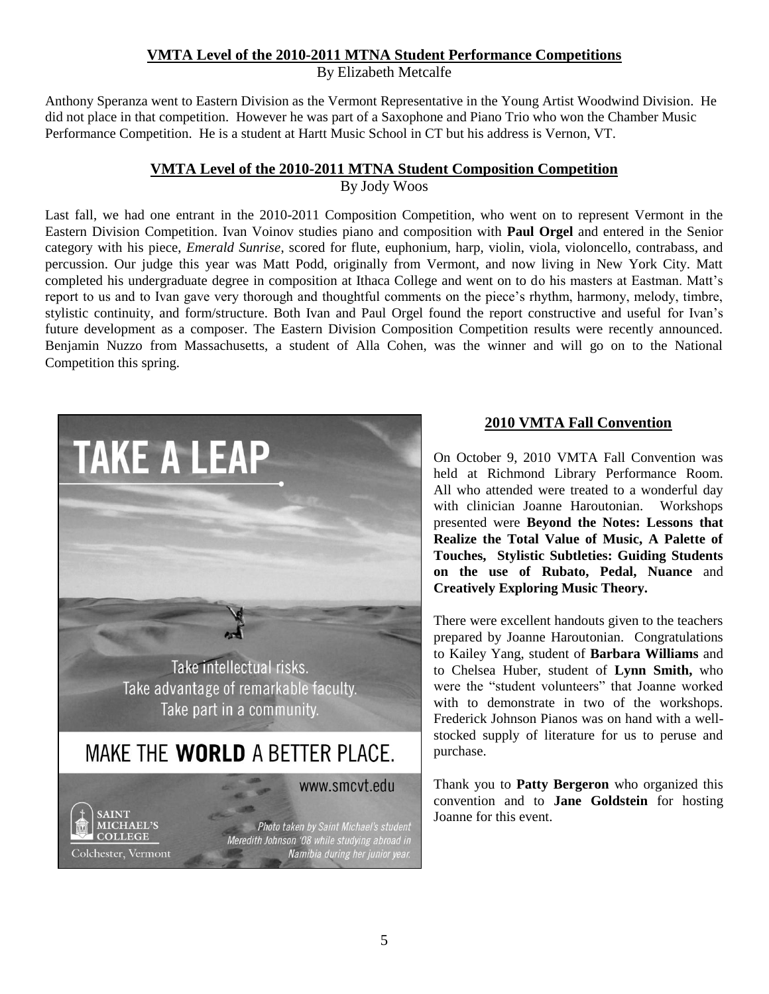## **VMTA Level of the 2010-2011 MTNA Student Performance Competitions**

By Elizabeth Metcalfe

Anthony Speranza went to Eastern Division as the Vermont Representative in the Young Artist Woodwind Division. He did not place in that competition. However he was part of a Saxophone and Piano Trio who won the Chamber Music Performance Competition. He is a student at Hartt Music School in CT but his address is Vernon, VT.

## **VMTA Level of the 2010-2011 MTNA Student Composition Competition**

By Jody Woos

Last fall, we had one entrant in the 2010-2011 Composition Competition, who went on to represent Vermont in the Eastern Division Competition. Ivan Voinov studies piano and composition with **Paul Orgel** and entered in the Senior category with his piece, *Emerald Sunrise*, scored for flute, euphonium, harp, violin, viola, violoncello, contrabass, and percussion. Our judge this year was Matt Podd, originally from Vermont, and now living in New York City. Matt completed his undergraduate degree in composition at Ithaca College and went on to do his masters at Eastman. Matt's report to us and to Ivan gave very thorough and thoughtful comments on the piece's rhythm, harmony, melody, timbre, stylistic continuity, and form/structure. Both Ivan and Paul Orgel found the report constructive and useful for Ivan's future development as a composer. The Eastern Division Composition Competition results were recently announced. Benjamin Nuzzo from Massachusetts, a student of Alla Cohen, was the winner and will go on to the National Competition this spring.



## **2010 VMTA Fall Convention**

On October 9, 2010 VMTA Fall Convention was held at Richmond Library Performance Room. All who attended were treated to a wonderful day with clinician Joanne Haroutonian. Workshops presented were **Beyond the Notes: Lessons that Realize the Total Value of Music, A Palette of Touches, Stylistic Subtleties: Guiding Students on the use of Rubato, Pedal, Nuance** and **Creatively Exploring Music Theory.** 

There were excellent handouts given to the teachers prepared by Joanne Haroutonian. Congratulations to Kailey Yang, student of **Barbara Williams** and to Chelsea Huber, student of **Lynn Smith,** who were the "student volunteers" that Joanne worked with to demonstrate in two of the workshops. Frederick Johnson Pianos was on hand with a wellstocked supply of literature for us to peruse and purchase.

Thank you to **Patty Bergeron** who organized this convention and to **Jane Goldstein** for hosting Joanne for this event.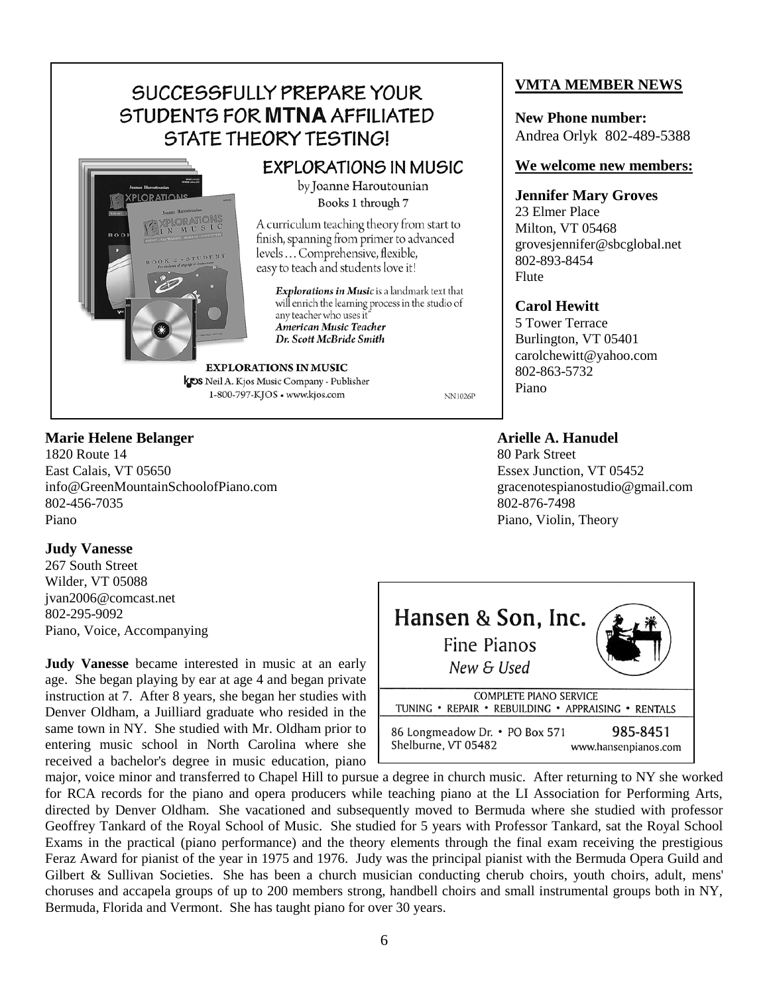## SUCCESSFULLY PREPARE YOUR STUDENTS FOR MTNA AFFILIATED STATE THEORY TESTING!



## **EXPLORATIONS IN MUSIC**

by Joanne Haroutounian Books 1 through 7

A curriculum teaching theory from start to finish, spanning from primer to advanced levels ... Comprehensive, flexible, easy to teach and students love it!

Explorations in Music is a landmark text that will enrich the learning process in the studio of any teacher who uses it" American Music Teacher Dr. Scott McBride Smith

**EXPLORATIONS IN MUSIC KOS** Neil A. Kjos Music Company - Publisher 1-800-797-KJOS · www.kjos.com

**NN1026P** 

## **Marie Helene Belanger Arielle A. Hanudel**

1820 Route 14 80 Park Street East Calais, VT 05650 Essex Junction, VT 05452 info@GreenMountainSchoolofPiano.com gracenotespianostudio@gmail.com 802-456-7035 802-876-7498 Piano Piano, Violin, Theory

## **Judy Vanesse**

267 South Street Wilder, VT 05088 jvan2006@comcast.net 802-295-9092 Piano, Voice, Accompanying

**Judy Vanesse** became interested in music at an early age. She began playing by ear at age 4 and began private instruction at 7. After 8 years, she began her studies with Denver Oldham, a Juilliard graduate who resided in the same town in NY. She studied with Mr. Oldham prior to entering music school in North Carolina where she received a bachelor's degree in music education, piano



major, voice minor and transferred to Chapel Hill to pursue a degree in church music. After returning to NY she worked for RCA records for the piano and opera producers while teaching piano at the LI Association for Performing Arts, directed by Denver Oldham. She vacationed and subsequently moved to Bermuda where she studied with professor Geoffrey Tankard of the Royal School of Music. She studied for 5 years with Professor Tankard, sat the Royal School Exams in the practical (piano performance) and the theory elements through the final exam receiving the prestigious Feraz Award for pianist of the year in 1975 and 1976. Judy was the principal pianist with the Bermuda Opera Guild and Gilbert & Sullivan Societies. She has been a church musician conducting cherub choirs, youth choirs, adult, mens' choruses and accapela groups of up to 200 members strong, handbell choirs and small instrumental groups both in NY, Bermuda, Florida and Vermont. She has taught piano for over 30 years.

## **VMTA MEMBER NEWS**

**New Phone number:** Andrea Orlyk 802-489-5388

#### **We welcome new members:**

#### **Jennifer Mary Groves**

23 Elmer Place Milton, VT 05468 grovesjennifer@sbcglobal.net 802-893-8454 Flute

## **Carol Hewitt**

5 Tower Terrace Burlington, VT 05401 carolchewitt@yahoo.com 802-863-5732 Piano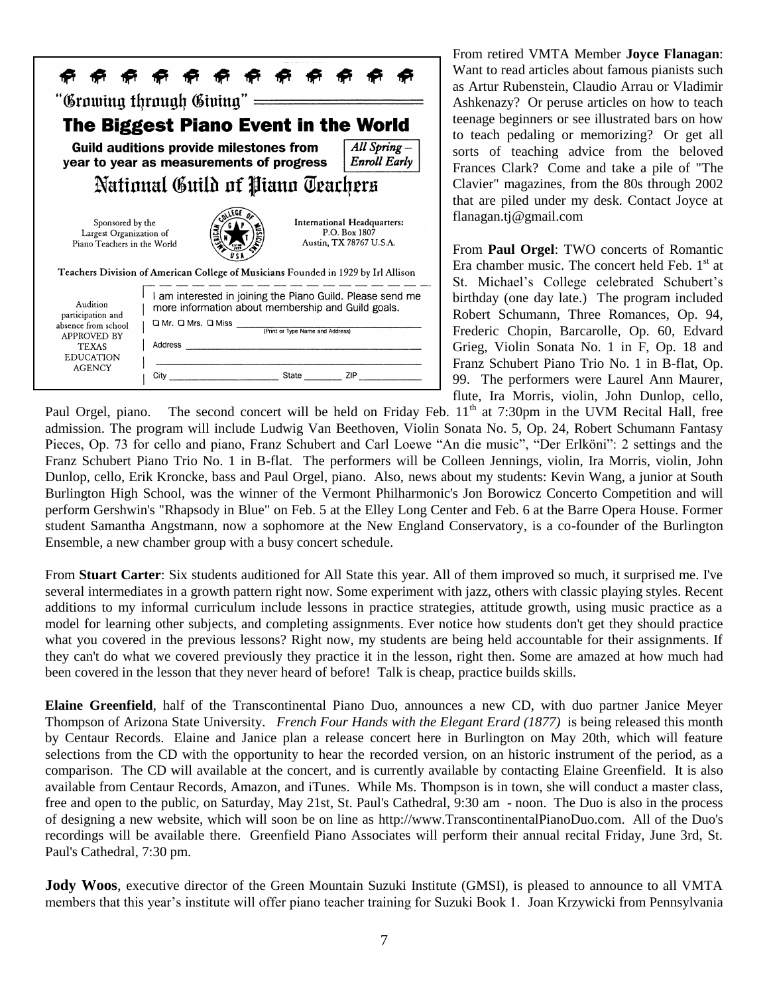

From retired VMTA Member **Joyce Flanagan**: Want to read articles about famous pianists such as Artur Rubenstein, Claudio Arrau or Vladimir Ashkenazy? Or peruse articles on how to teach teenage beginners or see illustrated bars on how to teach pedaling or memorizing? Or get all sorts of teaching advice from the beloved Frances Clark? Come and take a pile of "The Clavier" magazines, from the 80s through 2002 that are piled under my desk. Contact Joyce at flanagan.tj@gmail.com

From **Paul Orgel**: TWO concerts of Romantic Era chamber music. The concert held Feb.  $1<sup>st</sup>$  at St. Michael's College celebrated Schubert's birthday (one day late.) The program included Robert Schumann, Three Romances, Op. 94, Frederic Chopin, Barcarolle, Op. 60, Edvard Grieg, Violin Sonata No. 1 in F, Op. 18 and Franz Schubert Piano Trio No. 1 in B-flat, Op. 99. The performers were Laurel Ann Maurer, flute, Ira Morris, violin, John Dunlop, cello,

Paul Orgel, piano. The second concert will be held on Friday Feb. 11<sup>th</sup> at 7:30pm in the UVM Recital Hall, free admission. The program will include Ludwig Van Beethoven, Violin Sonata No. 5, Op. 24, Robert Schumann Fantasy Pieces, Op. 73 for cello and piano, Franz Schubert and Carl Loewe "An die music", "Der Erlköni": 2 settings and the Franz Schubert Piano Trio No. 1 in B-flat. The performers will be Colleen Jennings, violin, Ira Morris, violin, John Dunlop, cello, Erik Kroncke, bass and Paul Orgel, piano. Also, news about my students: Kevin Wang, a junior at South Burlington High School, was the winner of the Vermont Philharmonic's Jon Borowicz Concerto Competition and will perform Gershwin's "Rhapsody in Blue" on Feb. 5 at the Elley Long Center and Feb. 6 at the Barre Opera House. Former student Samantha Angstmann, now a sophomore at the New England Conservatory, is a co-founder of the Burlington Ensemble, a new chamber group with a busy concert schedule.

From **Stuart Carter**: Six students auditioned for All State this year. All of them improved so much, it surprised me. I've several intermediates in a growth pattern right now. Some experiment with jazz, others with classic playing styles. Recent additions to my informal curriculum include lessons in practice strategies, attitude growth, using music practice as a model for learning other subjects, and completing assignments. Ever notice how students don't get they should practice what you covered in the previous lessons? Right now, my students are being held accountable for their assignments. If they can't do what we covered previously they practice it in the lesson, right then. Some are amazed at how much had been covered in the lesson that they never heard of before! Talk is cheap, practice builds skills.

**Elaine Greenfield**, half of the Transcontinental Piano Duo, announces a new CD, with duo partner Janice Meyer Thompson of Arizona State University. *French Four Hands with the Elegant Erard (1877)* is being released this month by Centaur Records. Elaine and Janice plan a release concert here in Burlington on May 20th, which will feature selections from the CD with the opportunity to hear the recorded version, on an historic instrument of the period, as a comparison. The CD will available at the concert, and is currently available by contacting Elaine Greenfield. It is also available from Centaur Records, Amazon, and iTunes. While Ms. Thompson is in town, she will conduct a master class, free and open to the public, on Saturday, May 21st, St. Paul's Cathedral, 9:30 am - noon. The Duo is also in the process of designing a new website, which will soon be on line as [http://www.TranscontinentalPianoDuo.com.](http://www.transcontinentalpianoduo.com/) All of the Duo's recordings will be available there. Greenfield Piano Associates will perform their annual recital Friday, June 3rd, St. Paul's Cathedral, 7:30 pm.

**Jody Woos**, executive director of the Green Mountain Suzuki Institute (GMSI), is pleased to announce to all VMTA members that this year's institute will offer piano teacher training for Suzuki Book 1. Joan Krzywicki from Pennsylvania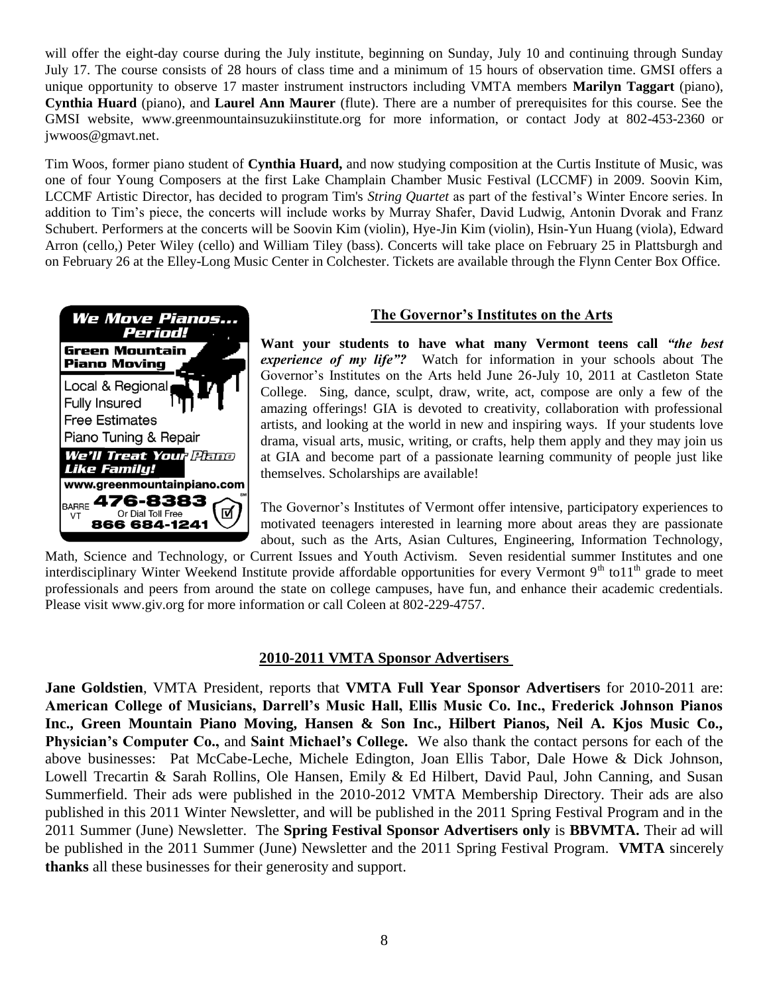will offer the eight-day course during the July institute, beginning on Sunday, July 10 and continuing through Sunday July 17. The course consists of 28 hours of class time and a minimum of 15 hours of observation time. GMSI offers a unique opportunity to observe 17 master instrument instructors including VMTA members **Marilyn Taggart** (piano), **Cynthia Huard** (piano), and **Laurel Ann Maurer** (flute). There are a number of prerequisites for this course. See the GMSI website, [www.greenmountainsuzukiinstitute.org](http://www.greenmountainsuzukiinstitute.org/) for more information, or contact Jody at 802-453-2360 or [jwwoos@gmavt.net.](mailto:jwwoos@gmavt.net)

Tim Woos, former piano student of **Cynthia Huard,** and now studying composition at the Curtis Institute of Music, was one of four Young Composers at the first Lake Champlain Chamber Music Festival (LCCMF) in 2009. Soovin Kim, LCCMF Artistic Director, has decided to program Tim's *String Quartet* as part of the festival's Winter Encore series. In addition to Tim's piece, the concerts will include works by Murray Shafer, David Ludwig, Antonin Dvorak and Franz Schubert. Performers at the concerts will be Soovin Kim (violin), Hye-Jin Kim (violin), Hsin-Yun Huang (viola), Edward Arron (cello,) Peter Wiley (cello) and William Tiley (bass). Concerts will take place on February 25 in Plattsburgh and on February 26 at the Elley-Long Music Center in Colchester. Tickets are available through the Flynn Center Box Office.



## **The Governor's Institutes on the Arts**

**Want your students to have what many Vermont teens call** *"the best experience of my life"?* Watch for information in your schools about The Governor's Institutes on the Arts held June 26-July 10, 2011 at Castleton State College. Sing, dance, sculpt, draw, write, act, compose are only a few of the amazing offerings! GIA is devoted to creativity, collaboration with professional artists, and looking at the world in new and inspiring ways. If your students love drama, visual arts, music, writing, or crafts, help them apply and they may join us at GIA and become part of a passionate learning community of people just like themselves. Scholarships are available!

The Governor's Institutes of Vermont offer intensive, participatory experiences to motivated teenagers interested in learning more about areas they are passionate about, such as the Arts, Asian Cultures, Engineering, Information Technology,

Math, Science and Technology, or Current Issues and Youth Activism. Seven residential summer Institutes and one interdisciplinary Winter Weekend Institute provide affordable opportunities for every Vermont  $9<sup>th</sup>$  to  $11<sup>th</sup>$  grade to meet professionals and peers from around the state on college campuses, have fun, and enhance their academic credentials. Please visit www.giv.org for more information or call Coleen at 802-229-4757.

## **2010-2011 VMTA Sponsor Advertisers**

**Jane Goldstien**, VMTA President, reports that **VMTA Full Year Sponsor Advertisers** for 2010-2011 are: **American College of Musicians, Darrell's Music Hall, Ellis Music Co. Inc., Frederick Johnson Pianos Inc., Green Mountain Piano Moving, Hansen & Son Inc., Hilbert Pianos, Neil A. Kjos Music Co., Physician's Computer Co.,** and **Saint Michael's College.** We also thank the contact persons for each of the above businesses: Pat McCabe-Leche, Michele Edington, Joan Ellis Tabor, Dale Howe & Dick Johnson, Lowell Trecartin & Sarah Rollins, Ole Hansen, Emily & Ed Hilbert, David Paul, John Canning, and Susan Summerfield. Their ads were published in the 2010-2012 VMTA Membership Directory. Their ads are also published in this 2011 Winter Newsletter, and will be published in the 2011 Spring Festival Program and in the 2011 Summer (June) Newsletter. The **Spring Festival Sponsor Advertisers only** is **BBVMTA.** Their ad will be published in the 2011 Summer (June) Newsletter and the 2011 Spring Festival Program. **VMTA** sincerely **thanks** all these businesses for their generosity and support.